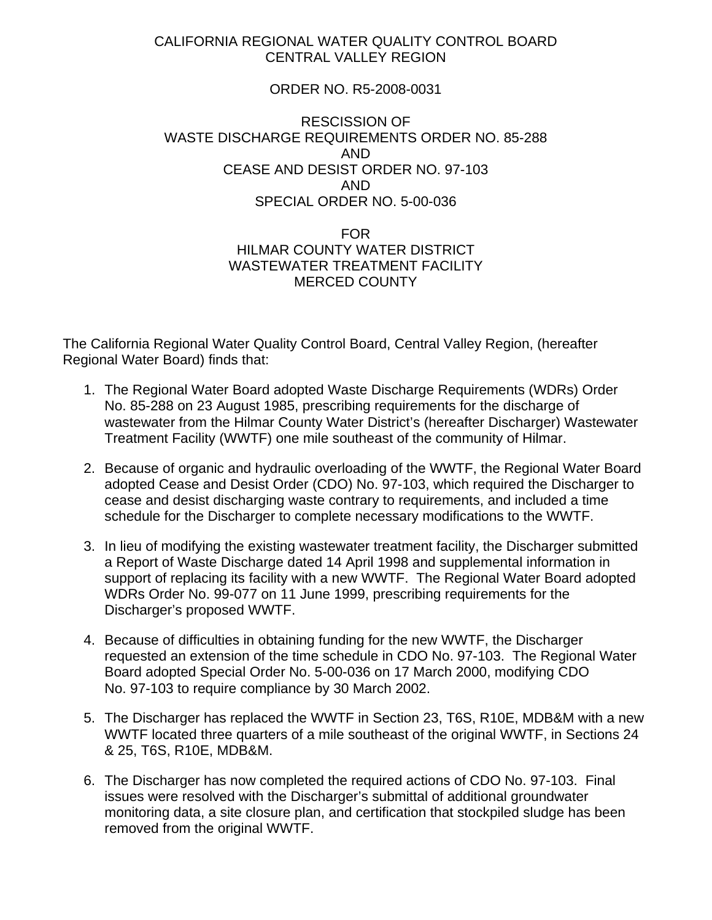## CALIFORNIA REGIONAL WATER QUALITY CONTROL BOARD CENTRAL VALLEY REGION

## ORDER NO. R5-2008-0031

## RESCISSION OF WASTE DISCHARGE REQUIREMENTS ORDER NO. 85-288 AND CEASE AND DESIST ORDER NO. 97-103 AND SPECIAL ORDER NO. 5-00-036

## FOR HILMAR COUNTY WATER DISTRICT WASTEWATER TREATMENT FACILITY MERCED COUNTY

The California Regional Water Quality Control Board, Central Valley Region, (hereafter Regional Water Board) finds that:

- 1. The Regional Water Board adopted Waste Discharge Requirements (WDRs) Order No. 85-288 on 23 August 1985, prescribing requirements for the discharge of wastewater from the Hilmar County Water District's (hereafter Discharger) Wastewater Treatment Facility (WWTF) one mile southeast of the community of Hilmar.
- 2. Because of organic and hydraulic overloading of the WWTF, the Regional Water Board adopted Cease and Desist Order (CDO) No. 97-103, which required the Discharger to cease and desist discharging waste contrary to requirements, and included a time schedule for the Discharger to complete necessary modifications to the WWTF.
- 3. In lieu of modifying the existing wastewater treatment facility, the Discharger submitted a Report of Waste Discharge dated 14 April 1998 and supplemental information in support of replacing its facility with a new WWTF. The Regional Water Board adopted WDRs Order No. 99-077 on 11 June 1999, prescribing requirements for the Discharger's proposed WWTF.
- 4. Because of difficulties in obtaining funding for the new WWTF, the Discharger requested an extension of the time schedule in CDO No. 97-103. The Regional Water Board adopted Special Order No. 5-00-036 on 17 March 2000, modifying CDO No. 97-103 to require compliance by 30 March 2002.
- 5. The Discharger has replaced the WWTF in Section 23, T6S, R10E, MDB&M with a new WWTF located three quarters of a mile southeast of the original WWTF, in Sections 24 & 25, T6S, R10E, MDB&M.
- 6. The Discharger has now completed the required actions of CDO No. 97-103. Final issues were resolved with the Discharger's submittal of additional groundwater monitoring data, a site closure plan, and certification that stockpiled sludge has been removed from the original WWTF.